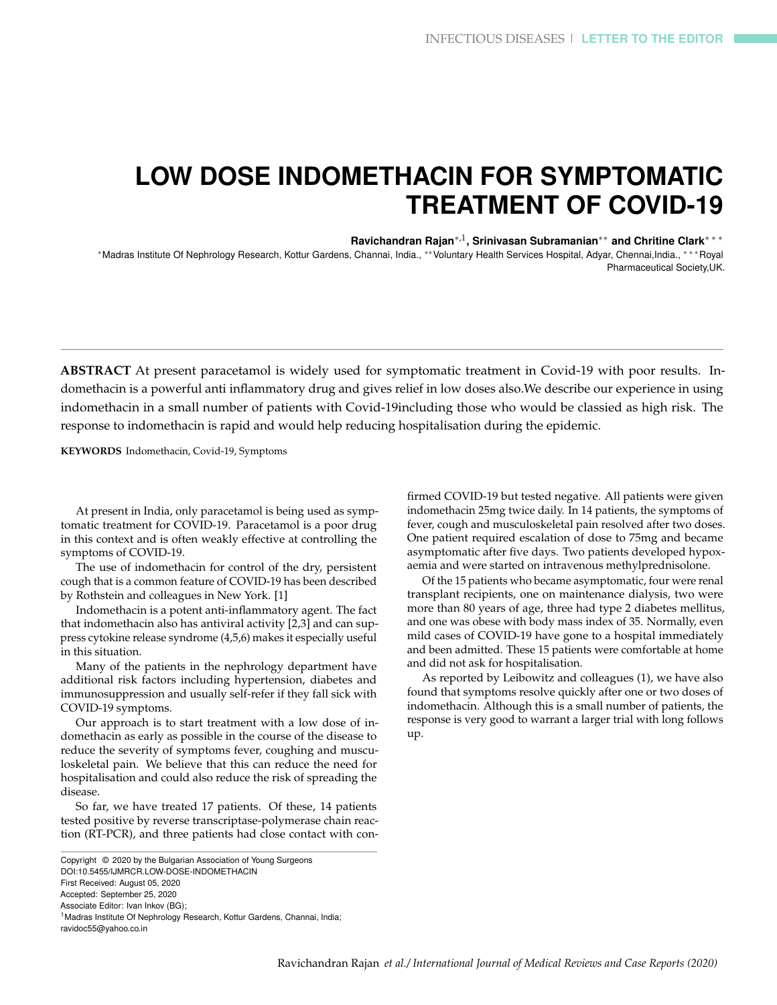## **LOW DOSE INDOMETHACIN FOR SYMPTOMATIC TREATMENT OF COVID-19**

**Ravichandran Rajan**∗,1 **, Srinivasan Subramanian**∗∗ **and Chritine Clark**∗ ∗ ∗

<sup>∗</sup>Madras Institute Of Nephrology Research, Kottur Gardens, Channai, India., ∗∗Voluntary Health Services Hospital, Adyar, Chennai,India., ∗ ∗ ∗Royal Pharmaceutical Society,UK.

**ABSTRACT** At present paracetamol is widely used for symptomatic treatment in Covid-19 with poor results. Indomethacin is a powerful anti inflammatory drug and gives relief in low doses also.We describe our experience in using indomethacin in a small number of patients with Covid-19including those who would be classied as high risk. The response to indomethacin is rapid and would help reducing hospitalisation during the epidemic.

**KEYWORDS** Indomethacin, Covid-19, Symptoms

At present in India, only paracetamol is being used as symptomatic treatment for COVID-19. Paracetamol is a poor drug in this context and is often weakly effective at controlling the symptoms of COVID-19.

The use of indomethacin for control of the dry, persistent cough that is a common feature of COVID-19 has been described by Rothstein and colleagues in New York. [1]

Indomethacin is a potent anti-inflammatory agent. The fact that indomethacin also has antiviral activity [2,3] and can suppress cytokine release syndrome (4,5,6) makes it especially useful in this situation.

Many of the patients in the nephrology department have additional risk factors including hypertension, diabetes and immunosuppression and usually self-refer if they fall sick with COVID-19 symptoms.

Our approach is to start treatment with a low dose of indomethacin as early as possible in the course of the disease to reduce the severity of symptoms fever, coughing and musculoskeletal pain. We believe that this can reduce the need for hospitalisation and could also reduce the risk of spreading the disease.

So far, we have treated 17 patients. Of these, 14 patients tested positive by reverse transcriptase-polymerase chain reaction (RT-PCR), and three patients had close contact with confirmed COVID-19 but tested negative. All patients were given indomethacin 25mg twice daily. In 14 patients, the symptoms of fever, cough and musculoskeletal pain resolved after two doses. One patient required escalation of dose to 75mg and became asymptomatic after five days. Two patients developed hypoxaemia and were started on intravenous methylprednisolone.

Of the 15 patients who became asymptomatic, four were renal transplant recipients, one on maintenance dialysis, two were more than 80 years of age, three had type 2 diabetes mellitus, and one was obese with body mass index of 35. Normally, even mild cases of COVID-19 have gone to a hospital immediately and been admitted. These 15 patients were comfortable at home and did not ask for hospitalisation.

As reported by Leibowitz and colleagues (1), we have also found that symptoms resolve quickly after one or two doses of indomethacin. Although this is a small number of patients, the response is very good to warrant a larger trial with long follows up.

Copyright © 2020 by the Bulgarian Association of Young Surgeons DOI:10.5455/IJMRCR.LOW-DOSE-INDOMETHACIN First Received: August 05, 2020 Accepted: September 25, 2020 Associate Editor: Ivan Inkov (BG); <sup>1</sup> Madras Institute Of Nephrology Research, Kottur Gardens, Channai, India; ravidoc55@yahoo.co.in